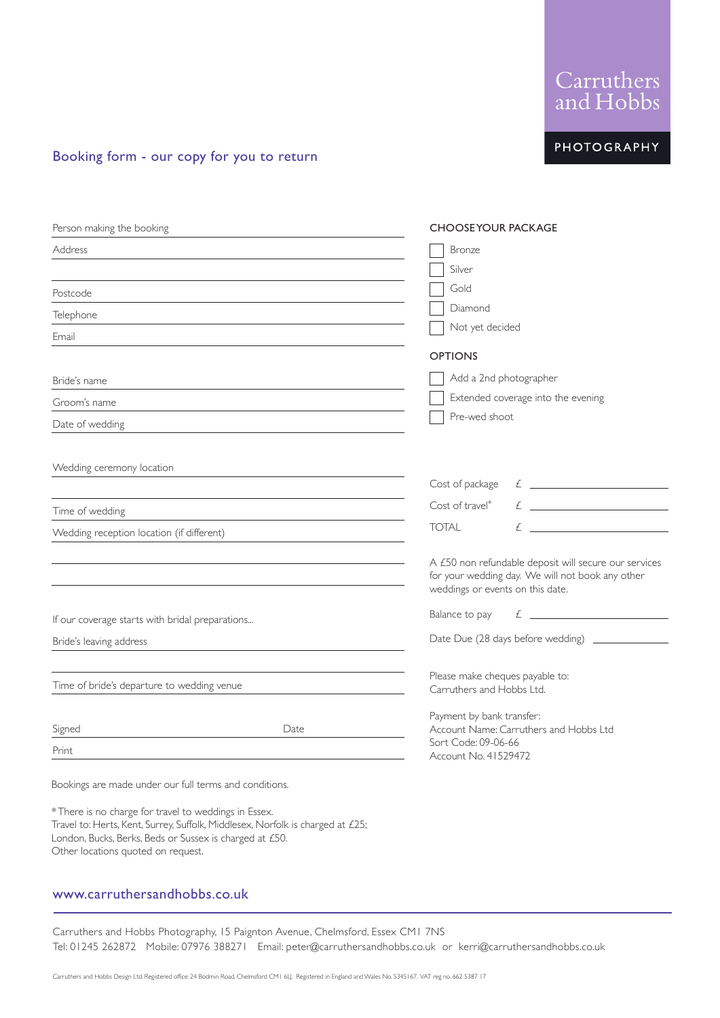Tel: 01245 262872 Mobile: 07976 388271 Email: peter@carruthersandhobbs.co.uk or kerri@carruthersandhobbs.co.uk

Carruthers and Hobbs Photography, 15 Paignton Avenue, Chelmsford, Essex CM1 7NS

www.carruthersandhobbs.co.uk

Other locations quoted on request.

\*There is no charge for travel to weddings in Essex.

London, Bucks, Berks, Beds or Sussex is charged at £50.

Travel to: Herts, Kent, Surrey, Suffolk, Middlesex, Norfolk is charged at £25;

# Booking form - our copy for you to return

| <b>Address</b><br>Postcode<br>Telephone<br>Email<br>Bride's name<br>Groom's name<br>Date of wedding<br>Wedding ceremony location | Bronze<br>Silver                                                                                                                                                                                                                                                                                                                                                                                 |
|----------------------------------------------------------------------------------------------------------------------------------|--------------------------------------------------------------------------------------------------------------------------------------------------------------------------------------------------------------------------------------------------------------------------------------------------------------------------------------------------------------------------------------------------|
|                                                                                                                                  |                                                                                                                                                                                                                                                                                                                                                                                                  |
|                                                                                                                                  |                                                                                                                                                                                                                                                                                                                                                                                                  |
|                                                                                                                                  | Gold                                                                                                                                                                                                                                                                                                                                                                                             |
|                                                                                                                                  | Diamond                                                                                                                                                                                                                                                                                                                                                                                          |
|                                                                                                                                  | Not yet decided                                                                                                                                                                                                                                                                                                                                                                                  |
|                                                                                                                                  | <b>OPTIONS</b>                                                                                                                                                                                                                                                                                                                                                                                   |
|                                                                                                                                  | Add a 2nd photographer                                                                                                                                                                                                                                                                                                                                                                           |
|                                                                                                                                  | Extended coverage into the evening                                                                                                                                                                                                                                                                                                                                                               |
|                                                                                                                                  | Pre-wed shoot                                                                                                                                                                                                                                                                                                                                                                                    |
|                                                                                                                                  |                                                                                                                                                                                                                                                                                                                                                                                                  |
|                                                                                                                                  |                                                                                                                                                                                                                                                                                                                                                                                                  |
|                                                                                                                                  | $f$ $\overline{f}$ $\overline{f}$ $\overline{f}$ $\overline{f}$ $\overline{f}$ $\overline{f}$ $\overline{f}$ $\overline{f}$ $\overline{f}$ $\overline{f}$ $\overline{f}$ $\overline{f}$ $\overline{f}$ $\overline{f}$ $\overline{f}$ $\overline{f}$ $\overline{f}$ $\overline{f}$ $\overline{f}$ $\overline{f}$ $\overline{f}$ $\overline{f}$ $\overline{f}$ $\overline{f}$<br>Cost of package   |
| Time of wedding                                                                                                                  | $f$ $\overline{f}$ $\overline{f}$ $\overline{f}$ $\overline{f}$ $\overline{f}$ $\overline{f}$ $\overline{f}$ $\overline{f}$ $\overline{f}$ $\overline{f}$ $\overline{f}$ $\overline{f}$ $\overline{f}$ $\overline{f}$ $\overline{f}$ $\overline{f}$ $\overline{f}$ $\overline{f}$ $\overline{f}$ $\overline{f}$ $\overline{f}$ $\overline{f}$ $\overline{f}$ $\overline{f}$<br>$Cost of travel*$ |
| Wedding reception location (if different)                                                                                        | $f(x) = f(x)$<br><b>TOTAL</b>                                                                                                                                                                                                                                                                                                                                                                    |
|                                                                                                                                  |                                                                                                                                                                                                                                                                                                                                                                                                  |
|                                                                                                                                  | A £50 non refundable deposit will secure our services<br>for your wedding day. We will not book any other                                                                                                                                                                                                                                                                                        |
|                                                                                                                                  | weddings or events on this date.                                                                                                                                                                                                                                                                                                                                                                 |
|                                                                                                                                  | $f$ $\overline{\phantom{a}}$<br>Balance to pay                                                                                                                                                                                                                                                                                                                                                   |
| If our coverage starts with bridal preparations                                                                                  |                                                                                                                                                                                                                                                                                                                                                                                                  |
| Bride's leaving address                                                                                                          | Date Due (28 days before wedding) __________                                                                                                                                                                                                                                                                                                                                                     |
|                                                                                                                                  | Please make cheques payable to:                                                                                                                                                                                                                                                                                                                                                                  |
| Time of bride's departure to wedding venue                                                                                       | Carruthers and Hobbs Ltd.                                                                                                                                                                                                                                                                                                                                                                        |
|                                                                                                                                  | Payment by bank transfer:                                                                                                                                                                                                                                                                                                                                                                        |
| Date<br>Signed                                                                                                                   | Account Name: Carruthers and Hobbs Ltd<br>Sort Code: 09-06-66                                                                                                                                                                                                                                                                                                                                    |
| Print                                                                                                                            | Account No. 41529472                                                                                                                                                                                                                                                                                                                                                                             |
| Bookings are made under our full terms and conditions.                                                                           |                                                                                                                                                                                                                                                                                                                                                                                                  |

# Carruthers<br>and Hobbs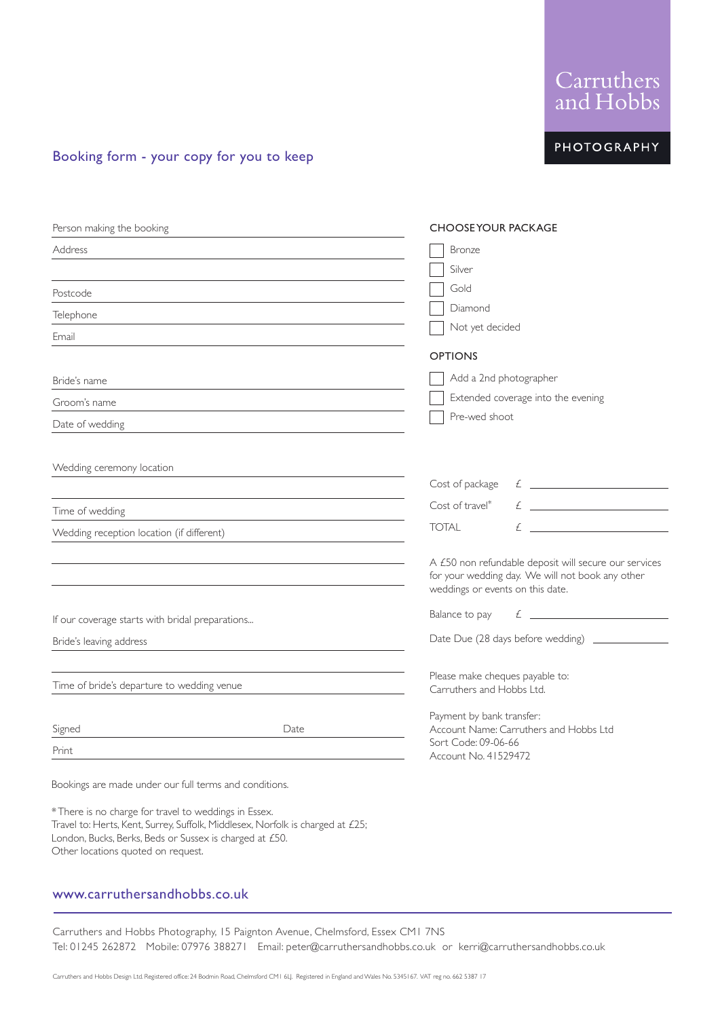# Carruthers and Hobbs Design Ltd. Registered office: 24 Bodmin Road, Chelmsford CM1 6LJ. Registered in England and Wales No. 5345167. VAT reg no. 662 5387 17

Carruthers and Hobbs Photography, 15 Paignton Avenue, Chelmsford, Essex CM1 7NS

| anu i iodos  |
|--------------|
| 'PHOTOGRAPHY |

# Booking form - your copy for you to keep

| Person making the booking                                     |                                                                                                                       | <b>CHOOSEYOUR PACKAGE</b>                                                                                 |
|---------------------------------------------------------------|-----------------------------------------------------------------------------------------------------------------------|-----------------------------------------------------------------------------------------------------------|
| <b>Address</b>                                                |                                                                                                                       | <b>Bronze</b>                                                                                             |
|                                                               |                                                                                                                       | Silver                                                                                                    |
| Postcode                                                      |                                                                                                                       | Gold                                                                                                      |
| Telephone                                                     |                                                                                                                       | Diamond                                                                                                   |
| Email                                                         |                                                                                                                       | Not yet decided                                                                                           |
|                                                               |                                                                                                                       | <b>OPTIONS</b>                                                                                            |
| Bride's name                                                  | <u> 1980 - Johann Barn, mars ann an t-Amhainn an t-Amhainn an t-Amhainn an t-Amhainn an t-Amhainn an t-Amhainn an</u> | Add a 2nd photographer                                                                                    |
| Groom's name                                                  |                                                                                                                       | Extended coverage into the evening                                                                        |
| Date of wedding<br><u> 1980 - Johann John Stein, markin f</u> |                                                                                                                       | Pre-wed shoot                                                                                             |
| Wedding ceremony location                                     |                                                                                                                       |                                                                                                           |
|                                                               |                                                                                                                       | $f$ $\overline{\phantom{a}}$<br>Cost of package                                                           |
|                                                               |                                                                                                                       | Cost of travel*                                                                                           |
| Time of wedding                                               |                                                                                                                       | $\mathcal{L}$ and the set of $\mathcal{L}$<br><b>TOTAL</b>                                                |
| Wedding reception location (if different)                     |                                                                                                                       |                                                                                                           |
|                                                               |                                                                                                                       | A £50 non refundable deposit will secure our services<br>for your wedding day. We will not book any other |
|                                                               |                                                                                                                       | weddings or events on this date.                                                                          |
| If our coverage starts with bridal preparations               |                                                                                                                       | $\mathcal{L}$ $\overline{\phantom{a}}$<br>Balance to pay                                                  |
| Bride's leaving address                                       |                                                                                                                       | Date Due (28 days before wedding) ___________                                                             |
| Time of bride's departure to wedding venue                    |                                                                                                                       | Please make cheques payable to:<br>Carruthers and Hobbs Ltd.                                              |
|                                                               |                                                                                                                       |                                                                                                           |
| Signed                                                        | Date                                                                                                                  | Payment by bank transfer:<br>Account Name: Carruthers and Hobbs Ltd                                       |
| Print                                                         |                                                                                                                       | Sort Code: 09-06-66<br>Account No. 41529472                                                               |
| Bookings are made under our full terms and conditions.        |                                                                                                                       |                                                                                                           |



Travel to: Herts, Kent, Surrey, Suffolk, Middlesex, Norfolk is charged at £25;

\*There is no charge for travel to weddings in Essex.

Other locations quoted on request.

London, Bucks, Berks, Beds or Sussex is charged at £50.

www.carruthersandhobbs.co.uk

Tel: 01245 262872 Mobile: 07976 388271 Email: peter@carruthersandhobbs.co.uk or kerri@carruthersandhobbs.co.uk

Carruthers<br>and Hobbs